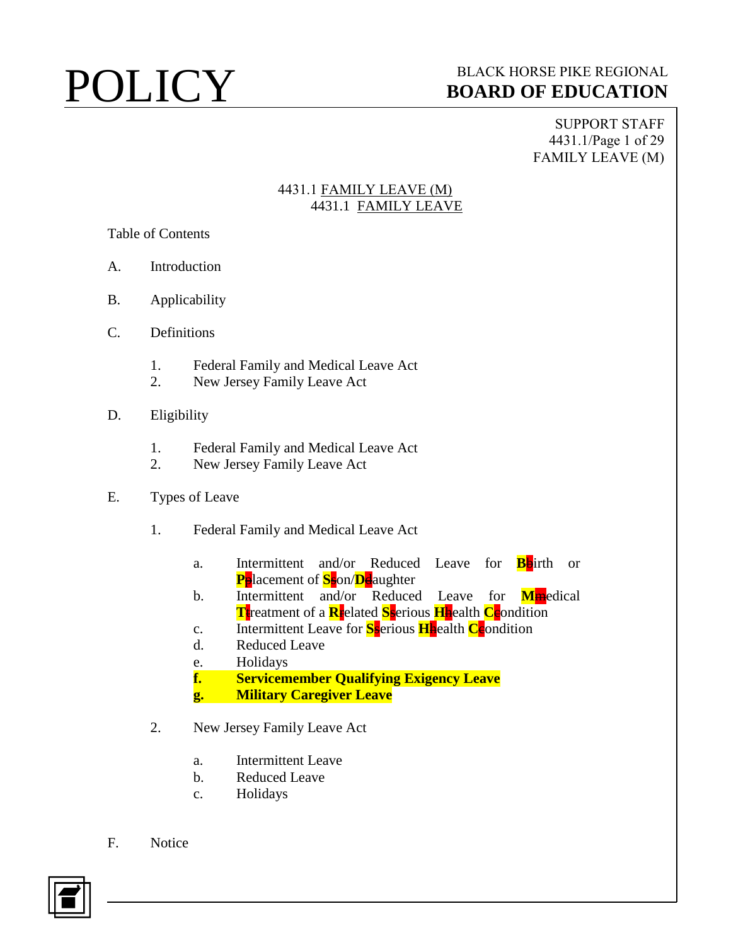SUPPORT STAFF 4431.1/Page 1 of 29 FAMILY LEAVE (M)

### 4431.1 FAMILY LEAVE (M) 4431.1 FAMILY LEAVE

Table of Contents

- A. Introduction
- B. Applicability
- C. Definitions
	- 1. Federal Family and Medical Leave Act
	- 2. New Jersey Family Leave Act
- D. Eligibility
	- 1. Federal Family and Medical Leave Act
	- 2. New Jersey Family Leave Act
- E. Types of Leave
	- 1. Federal Family and Medical Leave Act
		- a. Intermittent and/or Reduced Leave for **B**birth or **P**placement of **S**son/**D**daughter
		- b. Intermittent and/or Reduced Leave for **M**medical **T**treatment of a **R**related **S**serious **H**health **C**condition
		- c. Intermittent Leave for **S**serious **H**health **C**condition
		- d. Reduced Leave
		- e. Holidays
		- **f. Servicemember Qualifying Exigency Leave**
		- **g. Military Caregiver Leave**
	- 2. New Jersey Family Leave Act
		- a. Intermittent Leave
		- b. Reduced Leave
		- c. Holidays
- F. Notice

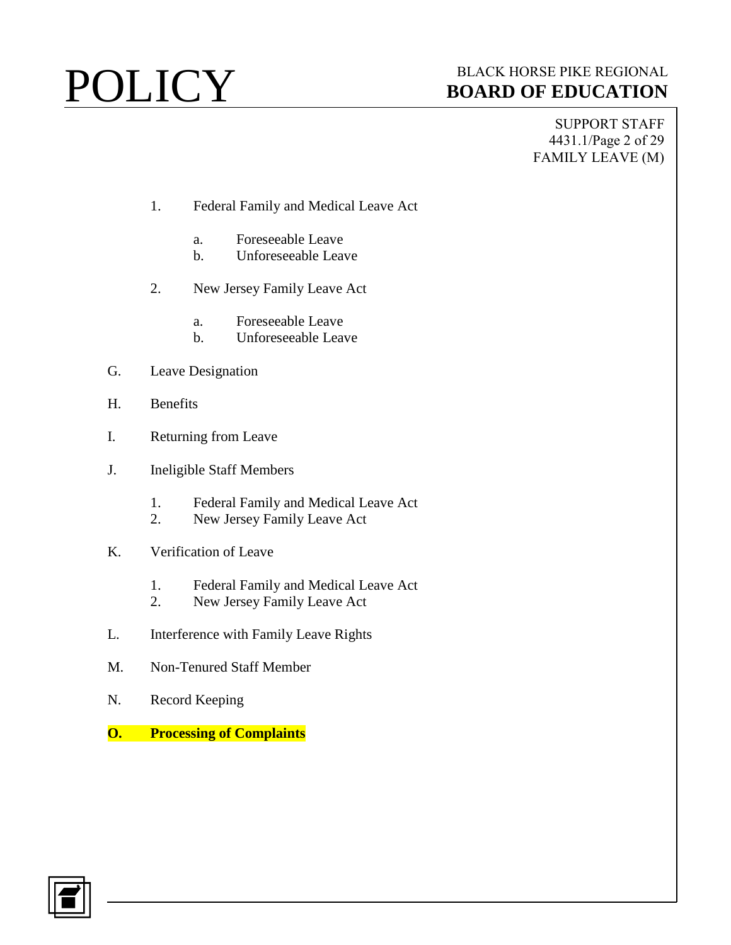SUPPORT STAFF 4431.1/Page 2 of 29 FAMILY LEAVE (M)

- 1. Federal Family and Medical Leave Act
	- a. Foreseeable Leave
	- b. Unforeseeable Leave
- 2. New Jersey Family Leave Act
	- a. Foreseeable Leave
	- b. Unforeseeable Leave
- G. Leave Designation
- H. Benefits
- I. Returning from Leave
- J. Ineligible Staff Members
	- 1. Federal Family and Medical Leave Act
	- 2. New Jersey Family Leave Act
- K. Verification of Leave
	- 1. Federal Family and Medical Leave Act
	- 2. New Jersey Family Leave Act
- L. Interference with Family Leave Rights
- M. Non-Tenured Staff Member
- N. Record Keeping
- **O. Processing of Complaints**

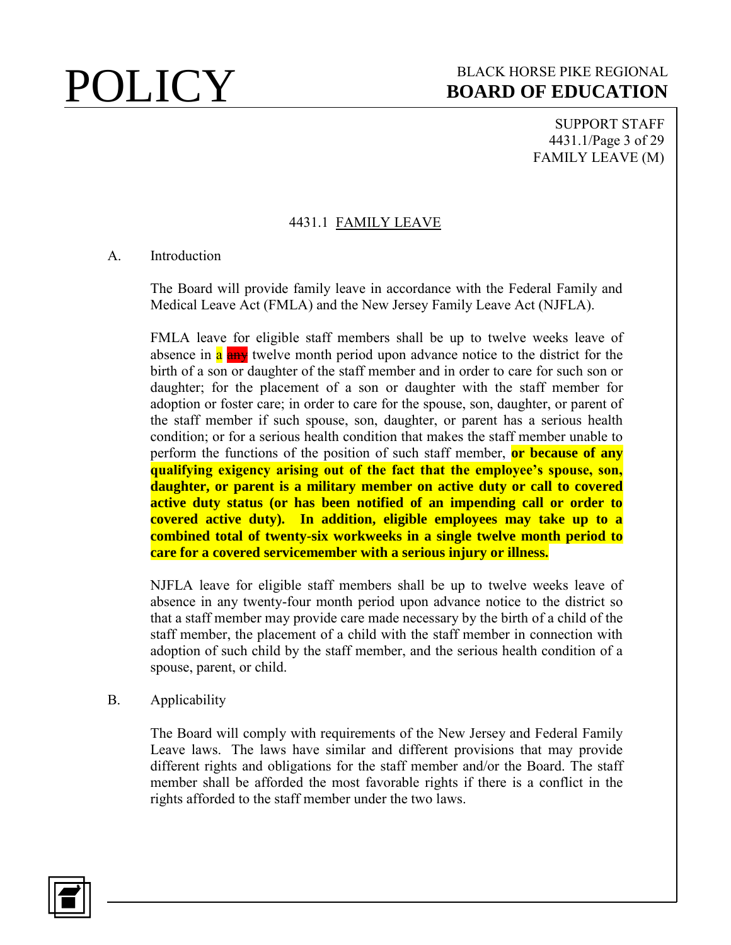SUPPORT STAFF 4431.1/Page 3 of 29 FAMILY LEAVE (M)

### 4431.1 FAMILY LEAVE

### A. Introduction

The Board will provide family leave in accordance with the Federal Family and Medical Leave Act (FMLA) and the New Jersey Family Leave Act (NJFLA).

FMLA leave for eligible staff members shall be up to twelve weeks leave of absence in a any twelve month period upon advance notice to the district for the birth of a son or daughter of the staff member and in order to care for such son or daughter; for the placement of a son or daughter with the staff member for adoption or foster care; in order to care for the spouse, son, daughter, or parent of the staff member if such spouse, son, daughter, or parent has a serious health condition; or for a serious health condition that makes the staff member unable to perform the functions of the position of such staff member, **or because of any qualifying exigency arising out of the fact that the employee's spouse, son, daughter, or parent is a military member on active duty or call to covered active duty status (or has been notified of an impending call or order to covered active duty). In addition, eligible employees may take up to a combined total of twenty-six workweeks in a single twelve month period to care for a covered servicemember with a serious injury or illness.**

NJFLA leave for eligible staff members shall be up to twelve weeks leave of absence in any twenty-four month period upon advance notice to the district so that a staff member may provide care made necessary by the birth of a child of the staff member, the placement of a child with the staff member in connection with adoption of such child by the staff member, and the serious health condition of a spouse, parent, or child.

### B. Applicability

The Board will comply with requirements of the New Jersey and Federal Family Leave laws. The laws have similar and different provisions that may provide different rights and obligations for the staff member and/or the Board. The staff member shall be afforded the most favorable rights if there is a conflict in the rights afforded to the staff member under the two laws.

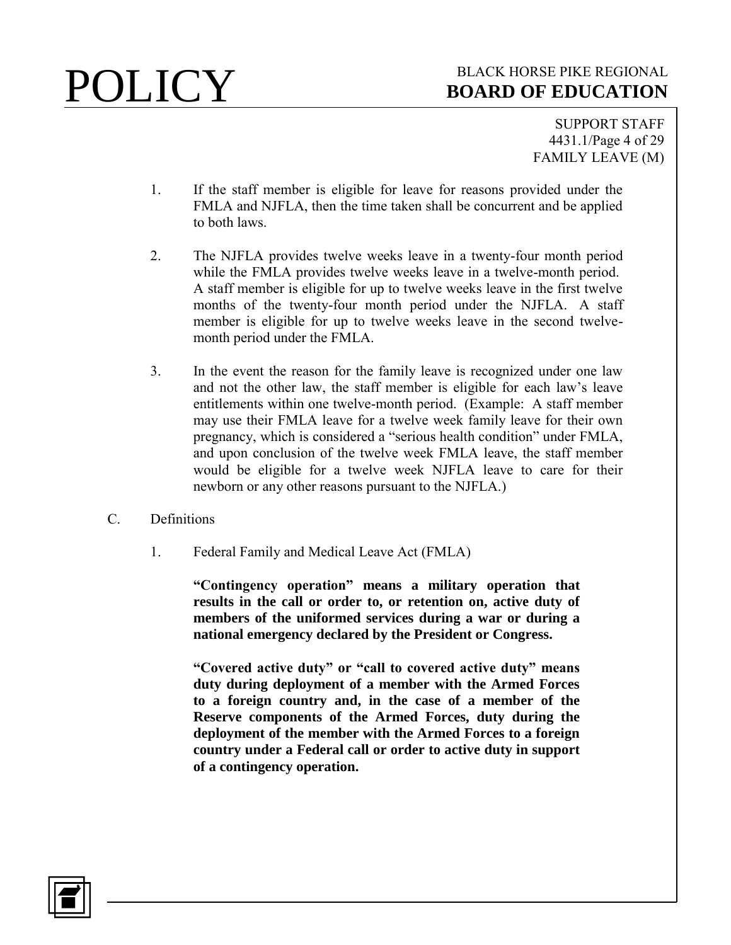SUPPORT STAFF 4431.1/Page 4 of 29 FAMILY LEAVE (M)

- 1. If the staff member is eligible for leave for reasons provided under the FMLA and NJFLA, then the time taken shall be concurrent and be applied to both laws.
- 2. The NJFLA provides twelve weeks leave in a twenty-four month period while the FMLA provides twelve weeks leave in a twelve-month period. A staff member is eligible for up to twelve weeks leave in the first twelve months of the twenty-four month period under the NJFLA. A staff member is eligible for up to twelve weeks leave in the second twelvemonth period under the FMLA.
- 3. In the event the reason for the family leave is recognized under one law and not the other law, the staff member is eligible for each law's leave entitlements within one twelve-month period. (Example: A staff member may use their FMLA leave for a twelve week family leave for their own pregnancy, which is considered a "serious health condition" under FMLA, and upon conclusion of the twelve week FMLA leave, the staff member would be eligible for a twelve week NJFLA leave to care for their newborn or any other reasons pursuant to the NJFLA.)
- C. Definitions
	- 1. Federal Family and Medical Leave Act (FMLA)

**"Contingency operation" means a military operation that results in the call or order to, or retention on, active duty of members of the uniformed services during a war or during a national emergency declared by the President or Congress.**

**"Covered active duty" or "call to covered active duty" means duty during deployment of a member with the Armed Forces to a foreign country and, in the case of a member of the Reserve components of the Armed Forces, duty during the deployment of the member with the Armed Forces to a foreign country under a Federal call or order to active duty in support of a contingency operation.**

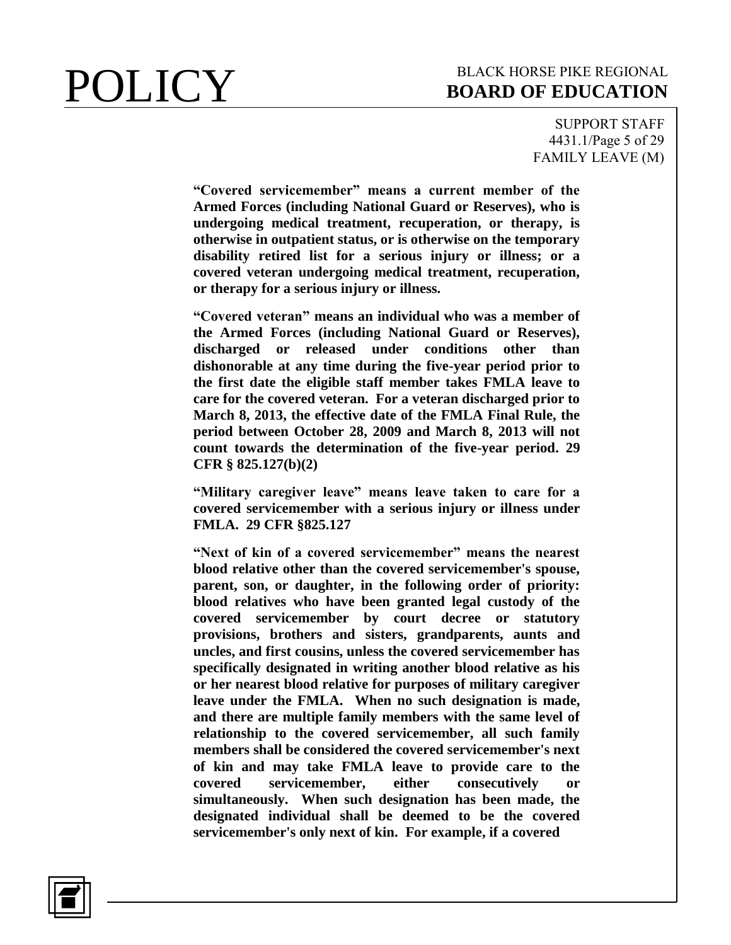SUPPORT STAFF 4431.1/Page 5 of 29 FAMILY LEAVE (M)

**"Covered servicemember" means a current member of the Armed Forces (including National Guard or Reserves), who is undergoing medical treatment, recuperation, or therapy, is otherwise in outpatient status, or is otherwise on the temporary disability retired list for a serious injury or illness; or a covered veteran undergoing medical treatment, recuperation, or therapy for a serious injury or illness.**

**"Covered veteran" means an individual who was a member of the Armed Forces (including National Guard or Reserves), discharged or released under conditions other than dishonorable at any time during the five-year period prior to the first date the eligible staff member takes FMLA leave to care for the covered veteran. For a veteran discharged prior to March 8, 2013, the effective date of the FMLA Final Rule, the period between October 28, 2009 and March 8, 2013 will not count towards the determination of the five-year period. 29 CFR § 825.127(b)(2)**

**"Military caregiver leave" means leave taken to care for a covered servicemember with a serious injury or illness under FMLA. 29 CFR §825.127**

**"Next of kin of a covered servicemember" means the nearest blood relative other than the covered servicemember's spouse, parent, son, or daughter, in the following order of priority: blood relatives who have been granted legal custody of the covered servicemember by court decree or statutory provisions, brothers and sisters, grandparents, aunts and uncles, and first cousins, unless the covered servicemember has specifically designated in writing another blood relative as his or her nearest blood relative for purposes of military caregiver leave under the FMLA. When no such designation is made, and there are multiple family members with the same level of relationship to the covered servicemember, all such family members shall be considered the covered servicemember's next of kin and may take FMLA leave to provide care to the covered servicemember, either consecutively or simultaneously. When such designation has been made, the designated individual shall be deemed to be the covered servicemember's only next of kin. For example, if a covered** 

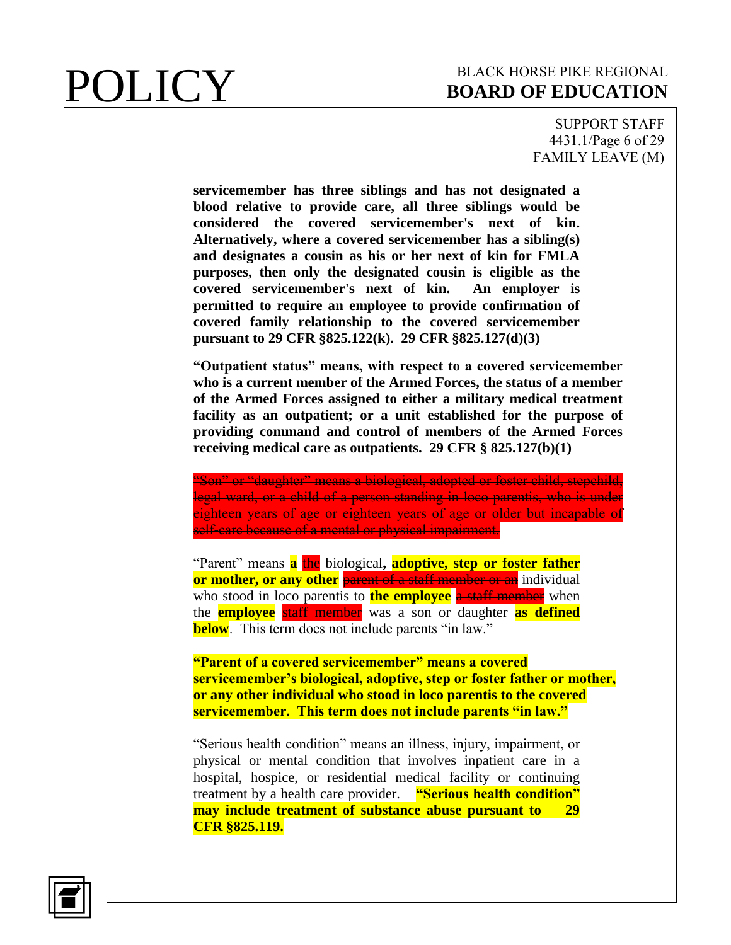SUPPORT STAFF 4431.1/Page 6 of 29 FAMILY LEAVE (M)

**servicemember has three siblings and has not designated a blood relative to provide care, all three siblings would be considered the covered servicemember's next of kin. Alternatively, where a covered servicemember has a sibling(s) and designates a cousin as his or her next of kin for FMLA purposes, then only the designated cousin is eligible as the covered servicemember's next of kin. An employer is permitted to require an employee to provide confirmation of covered family relationship to the covered servicemember pursuant to 29 CFR §825.122(k). 29 CFR §825.127(d)(3)**

**"Outpatient status" means, with respect to a covered servicemember who is a current member of the Armed Forces, the status of a member of the Armed Forces assigned to either a military medical treatment facility as an outpatient; or a unit established for the purpose of providing command and control of members of the Armed Forces receiving medical care as outpatients. 29 CFR § 825.127(b)(1)**

"Son" or "daughter" means a biological, adopted or foster child, stepchild, legal ward, or a child of a person standing in loco parentis, who is under eighteen years of age or eighteen years of age or older but incapable of self-care because of a mental or physical impairment.

"Parent" means **a** the biological**, adoptive, step or foster father or mother, or any other** parent of a staff member or an individual who stood in loco parentis to **the employee** a staff member when the **employee** staff member was a son or daughter **as defined below**. This term does not include parents "in law."

**"Parent of a covered servicemember" means a covered servicemember's biological, adoptive, step or foster father or mother, or any other individual who stood in loco parentis to the covered servicemember. This term does not include parents "in law."**

"Serious health condition" means an illness, injury, impairment, or physical or mental condition that involves inpatient care in a hospital, hospice, or residential medical facility or continuing treatment by a health care provider. **"Serious health condition" may include treatment of substance abuse pursuant to 29 CFR §825.119.**

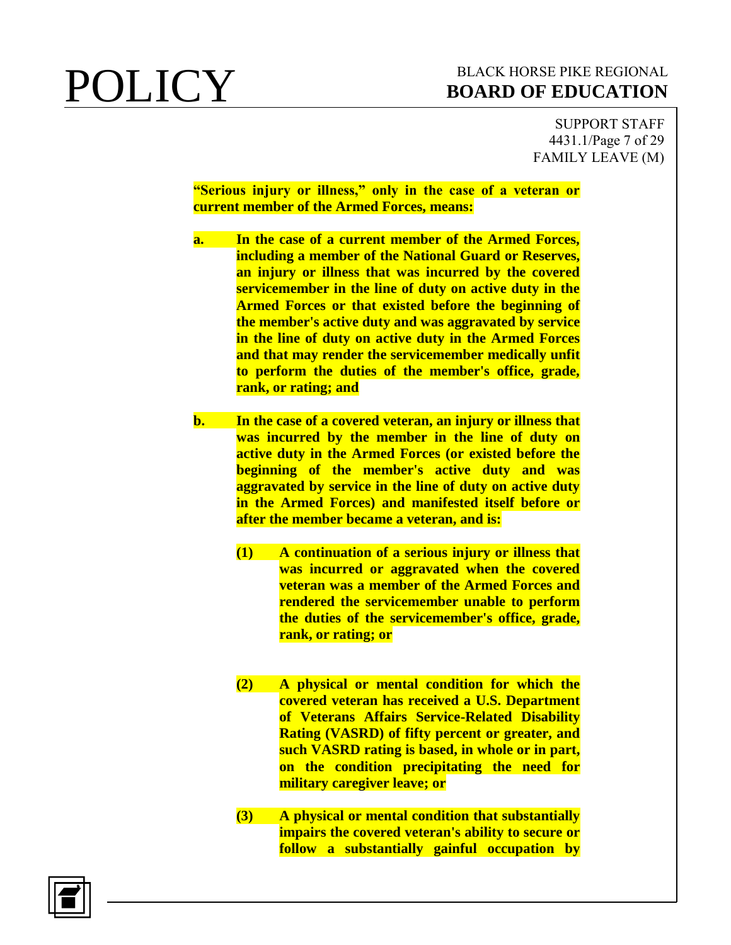SUPPORT STAFF 4431.1/Page 7 of 29 FAMILY LEAVE (M)

**"Serious injury or illness," only in the case of a veteran or current member of the Armed Forces, means:**

- **a. In the case of a current member of the Armed Forces, including a member of the National Guard or Reserves, an injury or illness that was incurred by the covered servicemember in the line of duty on active duty in the Armed Forces or that existed before the beginning of the member's active duty and was aggravated by service in the line of duty on active duty in the Armed Forces and that may render the servicemember medically unfit to perform the duties of the member's office, grade, rank, or rating; and**
- **b. In the case of a covered veteran, an injury or illness that was incurred by the member in the line of duty on active duty in the Armed Forces (or existed before the beginning of the member's active duty and was aggravated by service in the line of duty on active duty in the Armed Forces) and manifested itself before or after the member became a veteran, and is:**
	- **(1) A continuation of a serious injury or illness that was incurred or aggravated when the covered veteran was a member of the Armed Forces and rendered the servicemember unable to perform the duties of the servicemember's office, grade, rank, or rating; or**
	- **(2) A physical or mental condition for which the covered veteran has received a U.S. Department of Veterans Affairs Service-Related Disability Rating (VASRD) of fifty percent or greater, and such VASRD rating is based, in whole or in part, on the condition precipitating the need for military caregiver leave; or**
	- **(3) A physical or mental condition that substantially impairs the covered veteran's ability to secure or follow a substantially gainful occupation by**

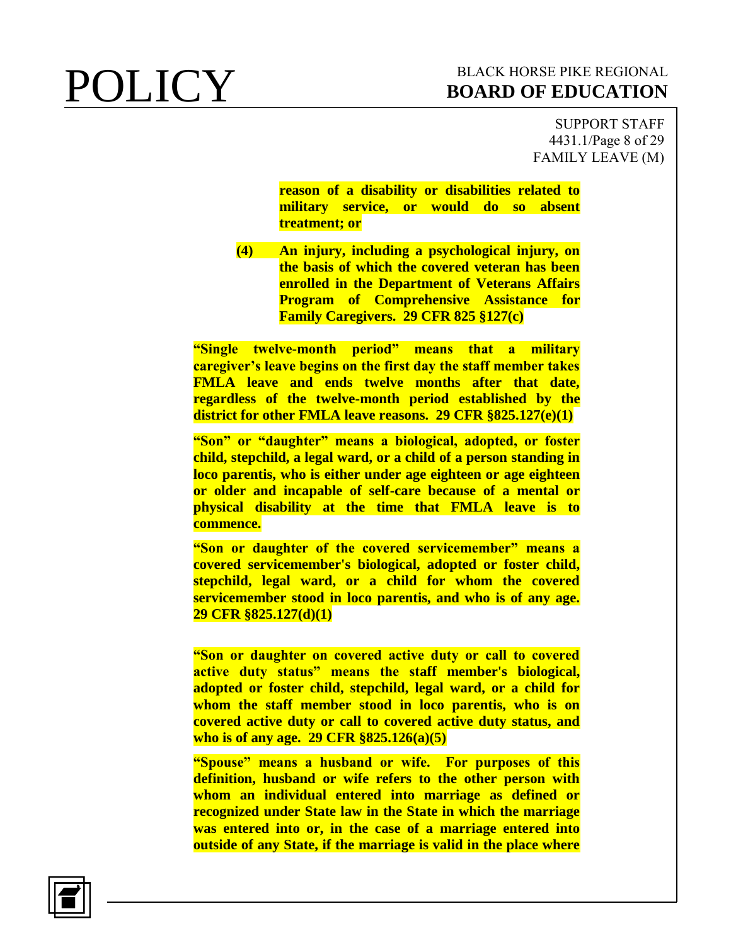SUPPORT STAFF 4431.1/Page 8 of 29 FAMILY LEAVE (M)

**reason of a disability or disabilities related to military service, or would do so absent treatment; or**

**(4) An injury, including a psychological injury, on the basis of which the covered veteran has been enrolled in the Department of Veterans Affairs Program of Comprehensive Assistance for Family Caregivers. 29 CFR 825 §127(c)**

**"Single twelve-month period" means that a military caregiver's leave begins on the first day the staff member takes FMLA leave and ends twelve months after that date, regardless of the twelve-month period established by the district for other FMLA leave reasons. 29 CFR §825.127(e)(1)**

**"Son" or "daughter" means a biological, adopted, or foster child, stepchild, a legal ward, or a child of a person standing in loco parentis, who is either under age eighteen or age eighteen or older and incapable of self-care because of a mental or physical disability at the time that FMLA leave is to commence.**

**"Son or daughter of the covered servicemember" means a covered servicemember's biological, adopted or foster child, stepchild, legal ward, or a child for whom the covered servicemember stood in loco parentis, and who is of any age. 29 CFR §825.127(d)(1)**

**"Son or daughter on covered active duty or call to covered active duty status" means the staff member's biological, adopted or foster child, stepchild, legal ward, or a child for whom the staff member stood in loco parentis, who is on covered active duty or call to covered active duty status, and who is of any age. 29 CFR §825.126(a)(5)**

**"Spouse" means a husband or wife. For purposes of this definition, husband or wife refers to the other person with whom an individual entered into marriage as defined or recognized under State law in the State in which the marriage was entered into or, in the case of a marriage entered into outside of any State, if the marriage is valid in the place where** 

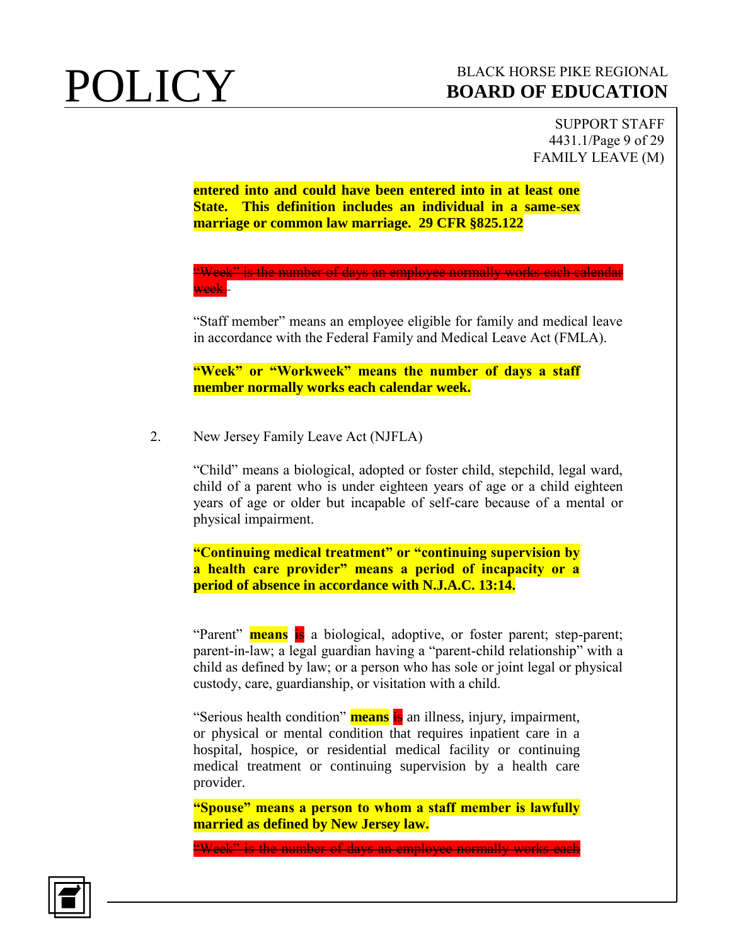SUPPORT STAFF 4431.1/Page 9 of 29 FAMILY LEAVE (M)

**entered into and could have been entered into in at least one State. This definition includes an individual in a same-sex marriage or common law marriage. 29 CFR §825.122**

"Week" is the number of days an employee normally works each calendar week.

"Staff member" means an employee eligible for family and medical leave in accordance with the Federal Family and Medical Leave Act (FMLA).

**"Week" or "Workweek" means the number of days a staff member normally works each calendar week.** 

2. New Jersey Family Leave Act (NJFLA)

"Child" means a biological, adopted or foster child, stepchild, legal ward, child of a parent who is under eighteen years of age or a child eighteen years of age or older but incapable of self-care because of a mental or physical impairment.

**"Continuing medical treatment" or "continuing supervision by a health care provider" means a period of incapacity or a period of absence in accordance with N.J.A.C. 13:14.**

"Parent" **means** is a biological, adoptive, or foster parent; step-parent; parent-in-law; a legal guardian having a "parent-child relationship" with a child as defined by law; or a person who has sole or joint legal or physical custody, care, guardianship, or visitation with a child.

"Serious health condition" **means** is an illness, injury, impairment, or physical or mental condition that requires inpatient care in a hospital, hospice, or residential medical facility or continuing medical treatment or continuing supervision by a health care provider.

**"Spouse" means a person to whom a staff member is lawfully married as defined by New Jersey law.**

"Week" is the number of days an employee normally works each

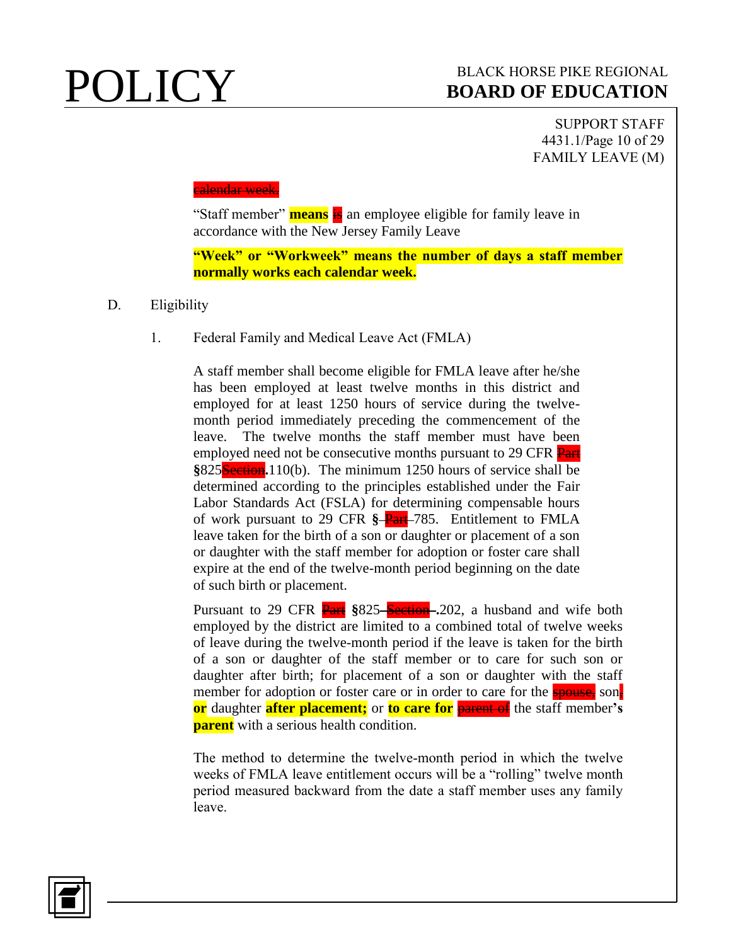SUPPORT STAFF 4431.1/Page 10 of 29 FAMILY LEAVE (M)

### <mark>calendar week.</mark>

"Staff member" **means** is an employee eligible for family leave in accordance with the New Jersey Family Leave

**"Week" or "Workweek" means the number of days a staff member normally works each calendar week.**

- D. Eligibility
	- 1. Federal Family and Medical Leave Act (FMLA)

A staff member shall become eligible for FMLA leave after he/she has been employed at least twelve months in this district and employed for at least 1250 hours of service during the twelvemonth period immediately preceding the commencement of the leave. The twelve months the staff member must have been employed need not be consecutive months pursuant to 29 CFR Part **§**825Section**.**110(b). The minimum 1250 hours of service shall be determined according to the principles established under the Fair Labor Standards Act (FSLA) for determining compensable hours of work pursuant to 29 CFR **§** Part 785. Entitlement to FMLA leave taken for the birth of a son or daughter or placement of a son or daughter with the staff member for adoption or foster care shall expire at the end of the twelve-month period beginning on the date of such birth or placement.

Pursuant to 29 CFR **Part** §825–Section 202, a husband and wife both employed by the district are limited to a combined total of twelve weeks of leave during the twelve-month period if the leave is taken for the birth of a son or daughter of the staff member or to care for such son or daughter after birth; for placement of a son or daughter with the staff member for adoption or foster care or in order to care for the spouse, son, **or** daughter **after placement;** or **to care for** parent of the staff member**'s parent** with a serious health condition.

The method to determine the twelve-month period in which the twelve weeks of FMLA leave entitlement occurs will be a "rolling" twelve month period measured backward from the date a staff member uses any family leave.

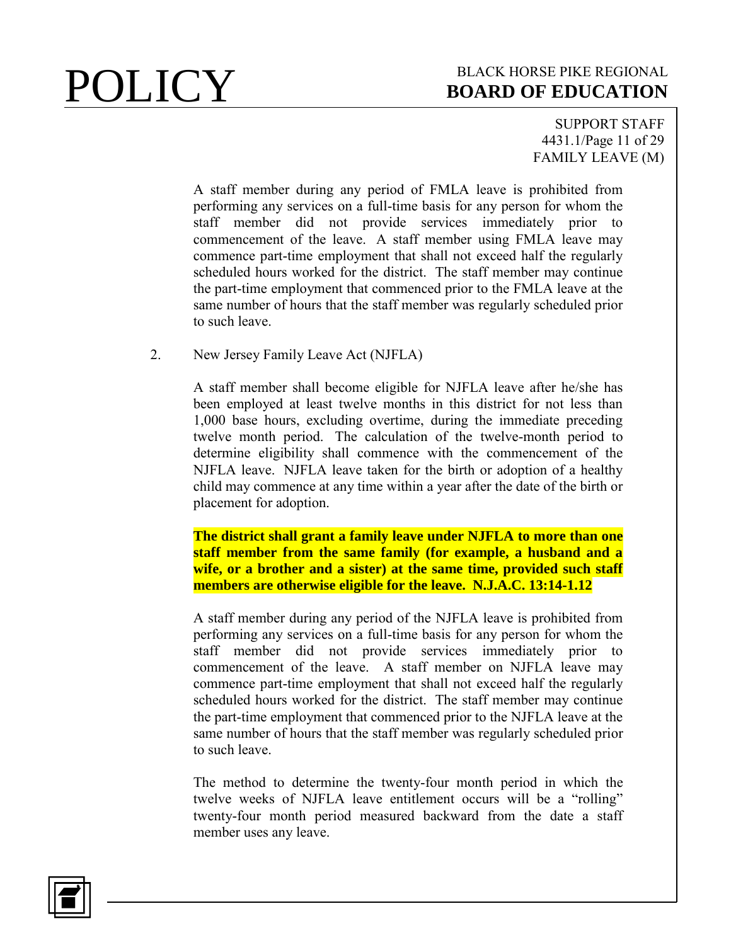SUPPORT STAFF 4431.1/Page 11 of 29 FAMILY LEAVE (M)

A staff member during any period of FMLA leave is prohibited from performing any services on a full-time basis for any person for whom the staff member did not provide services immediately prior to commencement of the leave. A staff member using FMLA leave may commence part-time employment that shall not exceed half the regularly scheduled hours worked for the district. The staff member may continue the part-time employment that commenced prior to the FMLA leave at the same number of hours that the staff member was regularly scheduled prior to such leave.

2. New Jersey Family Leave Act (NJFLA)

A staff member shall become eligible for NJFLA leave after he/she has been employed at least twelve months in this district for not less than 1,000 base hours, excluding overtime, during the immediate preceding twelve month period. The calculation of the twelve-month period to determine eligibility shall commence with the commencement of the NJFLA leave. NJFLA leave taken for the birth or adoption of a healthy child may commence at any time within a year after the date of the birth or placement for adoption.

**The district shall grant a family leave under NJFLA to more than one staff member from the same family (for example, a husband and a wife, or a brother and a sister) at the same time, provided such staff members are otherwise eligible for the leave. N.J.A.C. 13:14-1.12**

A staff member during any period of the NJFLA leave is prohibited from performing any services on a full-time basis for any person for whom the staff member did not provide services immediately prior to commencement of the leave. A staff member on NJFLA leave may commence part-time employment that shall not exceed half the regularly scheduled hours worked for the district. The staff member may continue the part-time employment that commenced prior to the NJFLA leave at the same number of hours that the staff member was regularly scheduled prior to such leave.

The method to determine the twenty-four month period in which the twelve weeks of NJFLA leave entitlement occurs will be a "rolling" twenty-four month period measured backward from the date a staff member uses any leave.

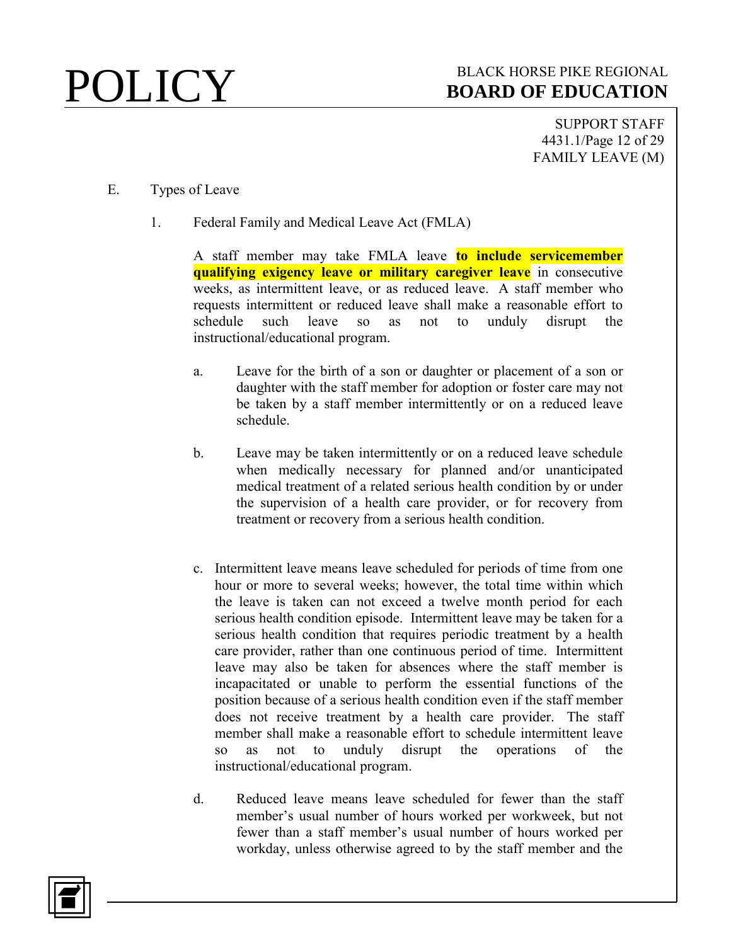SUPPORT STAFF 4431.1/Page 12 of 29 FAMILY LEAVE (M)

- E. Types of Leave
	- 1. Federal Family and Medical Leave Act (FMLA)

A staff member may take FMLA leave **to include servicemember qualifying exigency leave or military caregiver leave** in consecutive weeks, as intermittent leave, or as reduced leave. A staff member who requests intermittent or reduced leave shall make a reasonable effort to schedule such leave so as not to unduly disrupt the instructional/educational program.

- a. Leave for the birth of a son or daughter or placement of a son or daughter with the staff member for adoption or foster care may not be taken by a staff member intermittently or on a reduced leave schedule.
- b. Leave may be taken intermittently or on a reduced leave schedule when medically necessary for planned and/or unanticipated medical treatment of a related serious health condition by or under the supervision of a health care provider, or for recovery from treatment or recovery from a serious health condition.
- c. Intermittent leave means leave scheduled for periods of time from one hour or more to several weeks; however, the total time within which the leave is taken can not exceed a twelve month period for each serious health condition episode. Intermittent leave may be taken for a serious health condition that requires periodic treatment by a health care provider, rather than one continuous period of time. Intermittent leave may also be taken for absences where the staff member is incapacitated or unable to perform the essential functions of the position because of a serious health condition even if the staff member does not receive treatment by a health care provider. The staff member shall make a reasonable effort to schedule intermittent leave so as not to unduly disrupt the operations of the instructional/educational program.
- d. Reduced leave means leave scheduled for fewer than the staff member's usual number of hours worked per workweek, but not fewer than a staff member's usual number of hours worked per workday, unless otherwise agreed to by the staff member and the

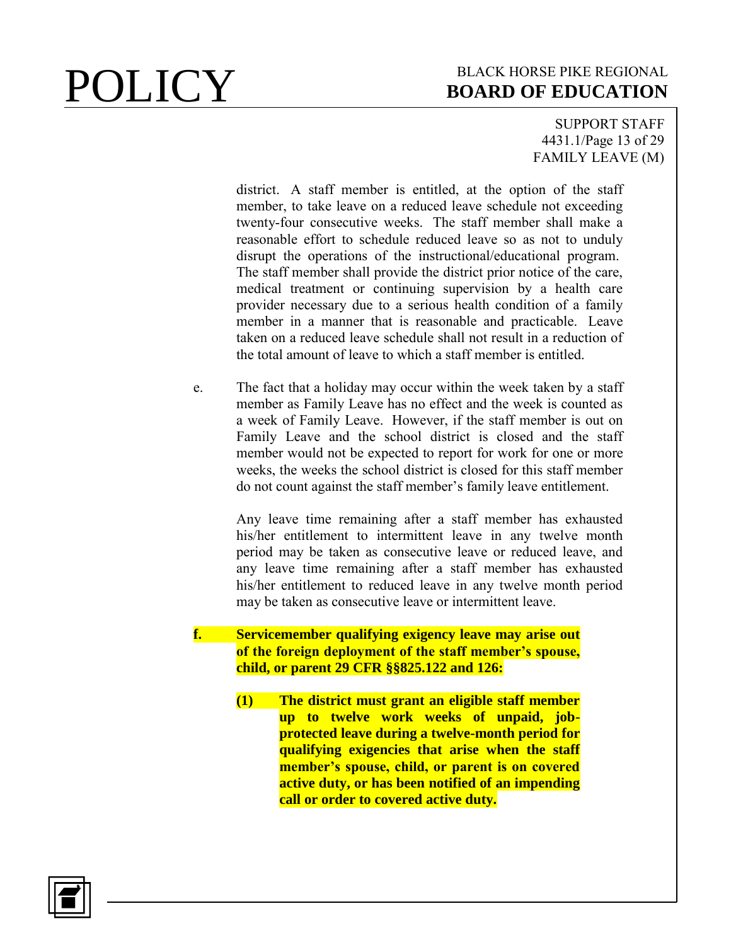SUPPORT STAFF 4431.1/Page 13 of 29 FAMILY LEAVE (M)

district. A staff member is entitled, at the option of the staff member, to take leave on a reduced leave schedule not exceeding twenty-four consecutive weeks. The staff member shall make a reasonable effort to schedule reduced leave so as not to unduly disrupt the operations of the instructional/educational program. The staff member shall provide the district prior notice of the care, medical treatment or continuing supervision by a health care provider necessary due to a serious health condition of a family member in a manner that is reasonable and practicable. Leave taken on a reduced leave schedule shall not result in a reduction of the total amount of leave to which a staff member is entitled.

e. The fact that a holiday may occur within the week taken by a staff member as Family Leave has no effect and the week is counted as a week of Family Leave. However, if the staff member is out on Family Leave and the school district is closed and the staff member would not be expected to report for work for one or more weeks, the weeks the school district is closed for this staff member do not count against the staff member's family leave entitlement.

> Any leave time remaining after a staff member has exhausted his/her entitlement to intermittent leave in any twelve month period may be taken as consecutive leave or reduced leave, and any leave time remaining after a staff member has exhausted his/her entitlement to reduced leave in any twelve month period may be taken as consecutive leave or intermittent leave.

**f. Servicemember qualifying exigency leave may arise out of the foreign deployment of the staff member's spouse, child, or parent 29 CFR §§825.122 and 126:**

> **(1) The district must grant an eligible staff member up to twelve work weeks of unpaid, jobprotected leave during a twelve-month period for qualifying exigencies that arise when the staff member's spouse, child, or parent is on covered active duty, or has been notified of an impending call or order to covered active duty.**

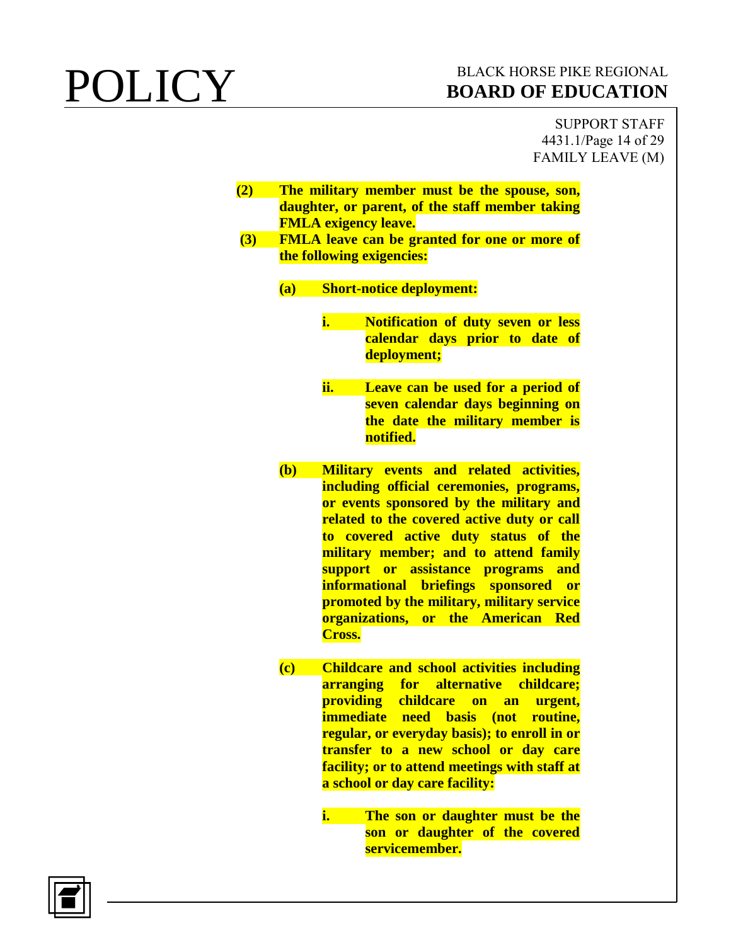SUPPORT STAFF 4431.1/Page 14 of 29 FAMILY LEAVE (M)

- **(2) The military member must be the spouse, son, daughter, or parent, of the staff member taking FMLA exigency leave.**
- **(3) FMLA leave can be granted for one or more of the following exigencies:**
	- **(a) Short-notice deployment:**
		- **i. Notification of duty seven or less calendar days prior to date of deployment;**
		- **ii. Leave can be used for a period of seven calendar days beginning on the date the military member is notified.**
	- **(b) Military events and related activities, including official ceremonies, programs, or events sponsored by the military and related to the covered active duty or call to covered active duty status of the military member; and to attend family support or assistance programs and informational briefings sponsored or promoted by the military, military service organizations, or the American Red Cross.**
	- **(c) Childcare and school activities including arranging for alternative childcare; providing childcare on an urgent, immediate need basis (not routine, regular, or everyday basis); to enroll in or transfer to a new school or day care facility; or to attend meetings with staff at a school or day care facility:**
		- **i. The son or daughter must be the son or daughter of the covered servicemember.**

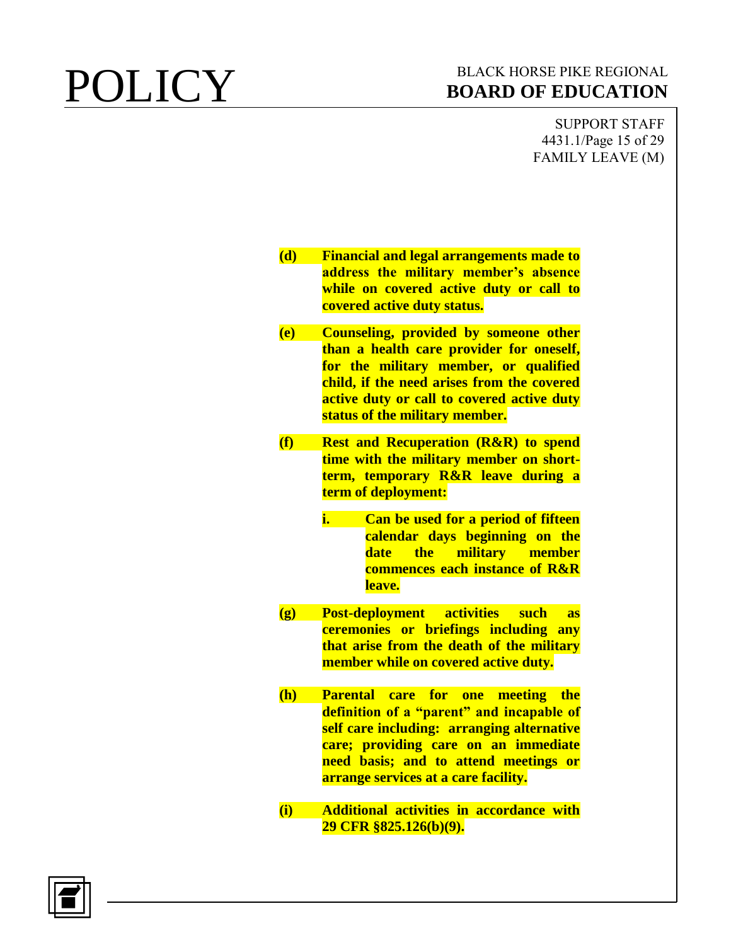SUPPORT STAFF 4431.1/Page 15 of 29 FAMILY LEAVE (M)

| (d)                        | <b>Financial and legal arrangements made to</b> |
|----------------------------|-------------------------------------------------|
|                            | address the military member's absence           |
|                            | while on covered active duty or call to         |
|                            | covered active duty status.                     |
|                            |                                                 |
| (e)                        | <b>Counseling, provided by someone other</b>    |
|                            | than a health care provider for oneself,        |
|                            | for the military member, or qualified           |
|                            | child, if the need arises from the covered      |
|                            | active duty or call to covered active duty      |
|                            | status of the military member.                  |
| (f)                        | <b>Rest and Recuperation (R&amp;R) to spend</b> |
|                            | time with the military member on short-         |
|                            | term, temporary R&R leave during a              |
|                            | term of deployment:                             |
|                            |                                                 |
|                            | i.<br>Can be used for a period of fifteen       |
|                            | calendar days beginning on the                  |
|                            | military member<br>date<br>the                  |
|                            | <b>commences each instance of R&amp;R</b>       |
|                            | leave.                                          |
|                            |                                                 |
| $\left( \mathbf{g}\right)$ | <b>Post-deployment activities such</b><br>as    |
|                            | ceremonies or briefings including<br>any        |
|                            | that arise from the death of the military       |
|                            | member while on covered active duty.            |
|                            |                                                 |
| (h)                        | care for one meeting the<br><b>Parental</b>     |
|                            | definition of a "parent" and incapable of       |
|                            | self care including: arranging alternative      |
|                            | care; providing care on an immediate            |
|                            | need basis; and to attend meetings or           |
|                            | arrange services at a care facility.            |
|                            |                                                 |
| (i)                        | Additional activities in accordance with        |
|                            | 29 CFR §825.126(b)(9).                          |
|                            |                                                 |

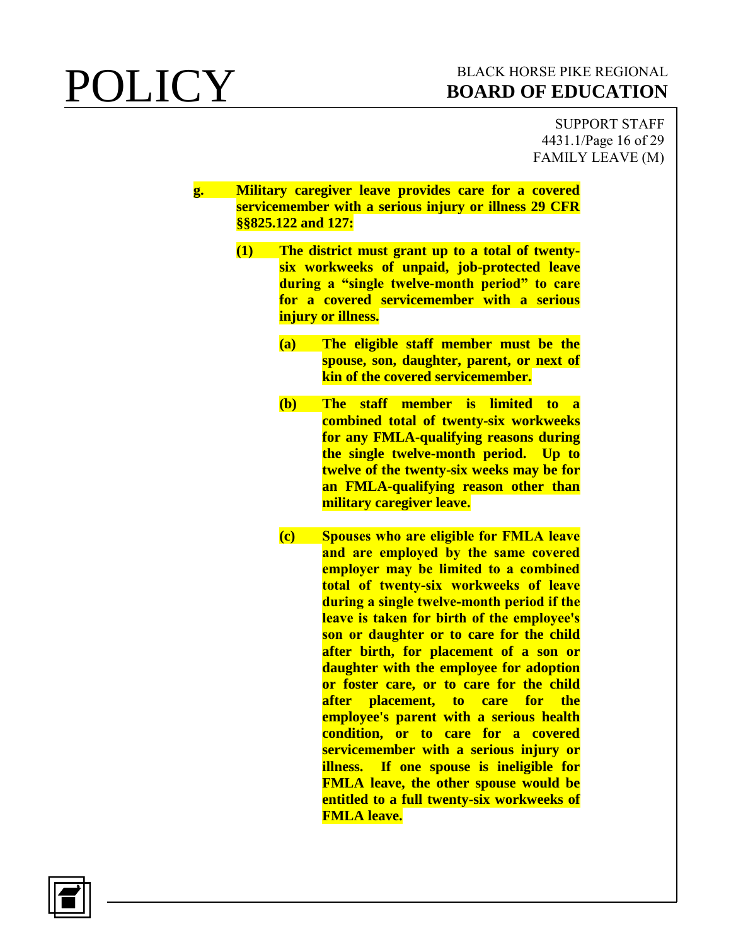SUPPORT STAFF 4431.1/Page 16 of 29 FAMILY LEAVE (M)

**g. Military caregiver leave provides care for a covered servicemember with a serious injury or illness 29 CFR §§825.122 and 127:**

- **(1) The district must grant up to a total of twentysix workweeks of unpaid, job-protected leave during a "single twelve-month period" to care for a covered servicemember with a serious injury or illness.**
	- **(a) The eligible staff member must be the spouse, son, daughter, parent, or next of kin of the covered servicemember.**
	- **(b) The staff member is limited to a combined total of twenty-six workweeks for any FMLA-qualifying reasons during the single twelve-month period. Up to twelve of the twenty-six weeks may be for an FMLA-qualifying reason other than military caregiver leave.**
	- **(c) Spouses who are eligible for FMLA leave and are employed by the same covered employer may be limited to a combined total of twenty-six workweeks of leave during a single twelve-month period if the leave is taken for birth of the employee's son or daughter or to care for the child after birth, for placement of a son or daughter with the employee for adoption or foster care, or to care for the child after placement, to care for the employee's parent with a serious health condition, or to care for a covered servicemember with a serious injury or illness. If one spouse is ineligible for FMLA leave, the other spouse would be entitled to a full twenty-six workweeks of FMLA leave.**

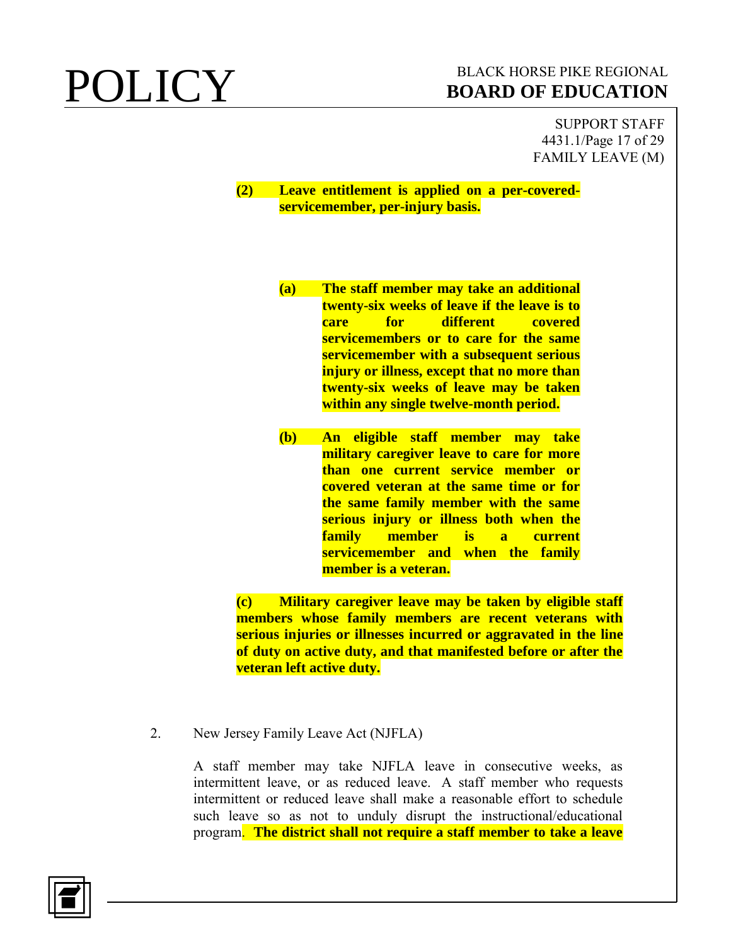SUPPORT STAFF 4431.1/Page 17 of 29 FAMILY LEAVE (M)

### **(2) Leave entitlement is applied on a per-coveredservicemember, per-injury basis.**

- **(a) The staff member may take an additional twenty-six weeks of leave if the leave is to care for different covered servicemembers or to care for the same servicemember with a subsequent serious injury or illness, except that no more than twenty-six weeks of leave may be taken within any single twelve-month period.**
- **(b) An eligible staff member may take military caregiver leave to care for more than one current service member or covered veteran at the same time or for the same family member with the same serious injury or illness both when the family member is a current servicemember and when the family member is a veteran.**

**(c) Military caregiver leave may be taken by eligible staff members whose family members are recent veterans with serious injuries or illnesses incurred or aggravated in the line of duty on active duty, and that manifested before or after the veteran left active duty.**

2. New Jersey Family Leave Act (NJFLA)

A staff member may take NJFLA leave in consecutive weeks, as intermittent leave, or as reduced leave. A staff member who requests intermittent or reduced leave shall make a reasonable effort to schedule such leave so as not to unduly disrupt the instructional/educational program. **The district shall not require a staff member to take a leave** 

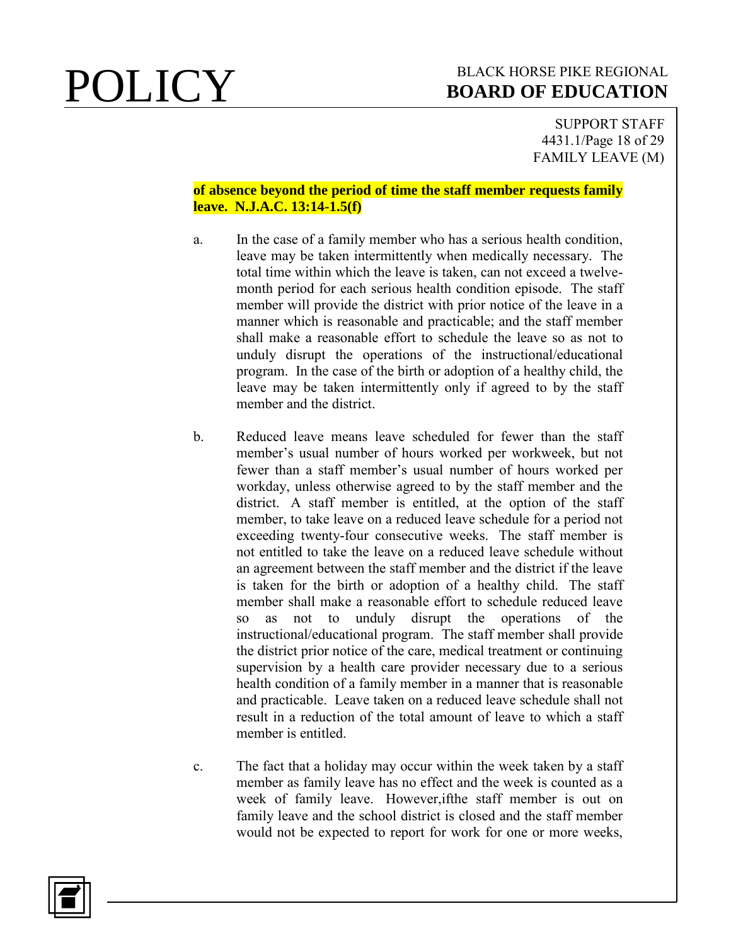SUPPORT STAFF 4431.1/Page 18 of 29 FAMILY LEAVE (M)

### **of absence beyond the period of time the staff member requests family leave. N.J.A.C. 13:14-1.5(f)**

- a. In the case of a family member who has a serious health condition, leave may be taken intermittently when medically necessary. The total time within which the leave is taken, can not exceed a twelvemonth period for each serious health condition episode. The staff member will provide the district with prior notice of the leave in a manner which is reasonable and practicable; and the staff member shall make a reasonable effort to schedule the leave so as not to unduly disrupt the operations of the instructional/educational program. In the case of the birth or adoption of a healthy child, the leave may be taken intermittently only if agreed to by the staff member and the district.
- b. Reduced leave means leave scheduled for fewer than the staff member's usual number of hours worked per workweek, but not fewer than a staff member's usual number of hours worked per workday, unless otherwise agreed to by the staff member and the district. A staff member is entitled, at the option of the staff member, to take leave on a reduced leave schedule for a period not exceeding twenty-four consecutive weeks. The staff member is not entitled to take the leave on a reduced leave schedule without an agreement between the staff member and the district if the leave is taken for the birth or adoption of a healthy child. The staff member shall make a reasonable effort to schedule reduced leave so as not to unduly disrupt the operations of the instructional/educational program. The staff member shall provide the district prior notice of the care, medical treatment or continuing supervision by a health care provider necessary due to a serious health condition of a family member in a manner that is reasonable and practicable. Leave taken on a reduced leave schedule shall not result in a reduction of the total amount of leave to which a staff member is entitled.
- c. The fact that a holiday may occur within the week taken by a staff member as family leave has no effect and the week is counted as a week of family leave. However,ifthe staff member is out on family leave and the school district is closed and the staff member would not be expected to report for work for one or more weeks,

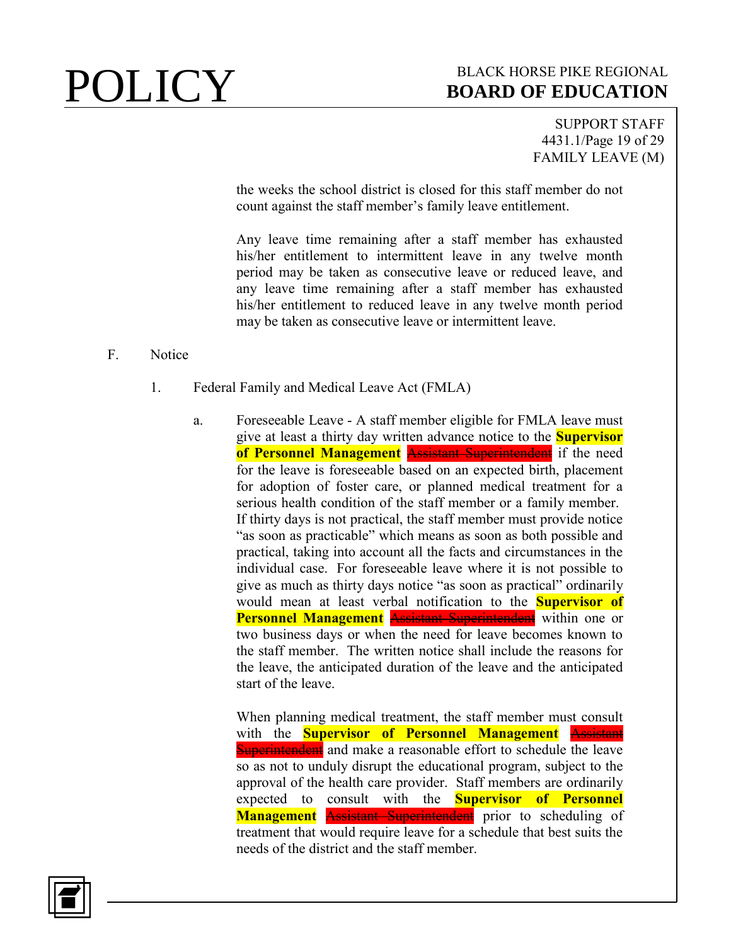SUPPORT STAFF 4431.1/Page 19 of 29 FAMILY LEAVE (M)

the weeks the school district is closed for this staff member do not count against the staff member's family leave entitlement.

Any leave time remaining after a staff member has exhausted his/her entitlement to intermittent leave in any twelve month period may be taken as consecutive leave or reduced leave, and any leave time remaining after a staff member has exhausted his/her entitlement to reduced leave in any twelve month period may be taken as consecutive leave or intermittent leave.

### F. Notice

- 1. Federal Family and Medical Leave Act (FMLA)
	- a. Foreseeable Leave A staff member eligible for FMLA leave must give at least a thirty day written advance notice to the **Supervisor**  of Personnel Management Assistant Superintendent if the need for the leave is foreseeable based on an expected birth, placement for adoption of foster care, or planned medical treatment for a serious health condition of the staff member or a family member. If thirty days is not practical, the staff member must provide notice "as soon as practicable" which means as soon as both possible and practical, taking into account all the facts and circumstances in the individual case. For foreseeable leave where it is not possible to give as much as thirty days notice "as soon as practical" ordinarily would mean at least verbal notification to the **Supervisor of Personnel Management** Assistant Superintendent within one or two business days or when the need for leave becomes known to the staff member. The written notice shall include the reasons for the leave, the anticipated duration of the leave and the anticipated start of the leave.

When planning medical treatment, the staff member must consult with the **Supervisor of Personnel Management** Assistant Superintendent and make a reasonable effort to schedule the leave so as not to unduly disrupt the educational program, subject to the approval of the health care provider. Staff members are ordinarily expected to consult with the **Supervisor of Personnel Management** Assistant Superintendent prior to scheduling of treatment that would require leave for a schedule that best suits the needs of the district and the staff member.

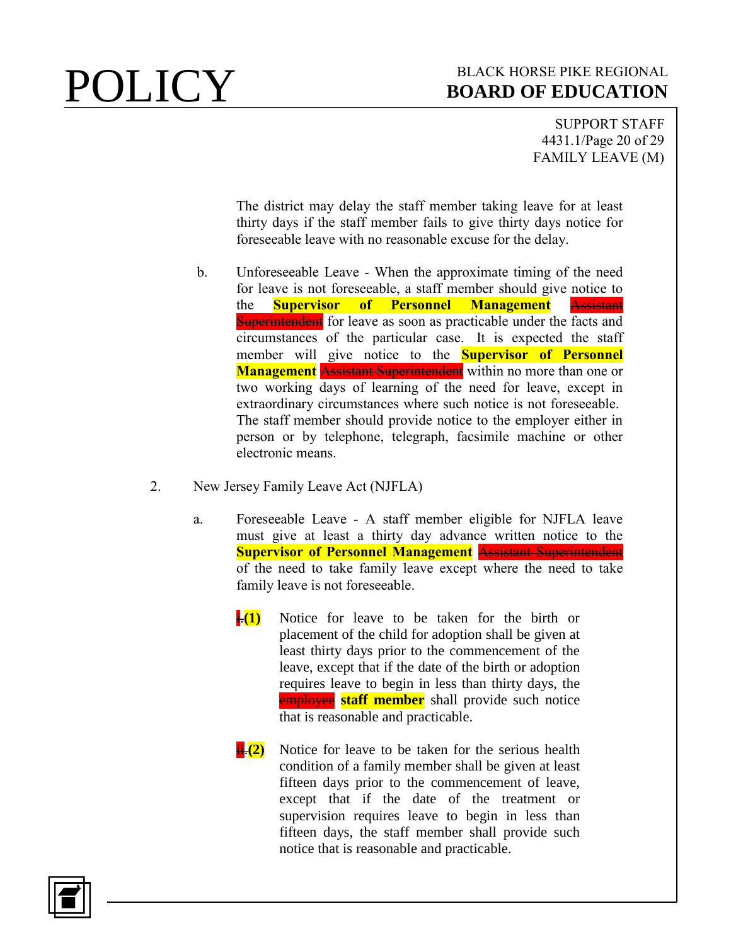SUPPORT STAFF 4431.1/Page 20 of 29 FAMILY LEAVE (M)

The district may delay the staff member taking leave for at least thirty days if the staff member fails to give thirty days notice for foreseeable leave with no reasonable excuse for the delay.

- b. Unforeseeable Leave When the approximate timing of the need for leave is not foreseeable, a staff member should give notice to the **Supervisor of Personnel Management** Assistant **Superintendent** for leave as soon as practicable under the facts and circumstances of the particular case. It is expected the staff member will give notice to the **Supervisor of Personnel Management** Assistant Superintendent within no more than one or two working days of learning of the need for leave, except in extraordinary circumstances where such notice is not foreseeable. The staff member should provide notice to the employer either in person or by telephone, telegraph, facsimile machine or other electronic means.
- 2. New Jersey Family Leave Act (NJFLA)
	- a. Foreseeable Leave A staff member eligible for NJFLA leave must give at least a thirty day advance written notice to the **Supervisor of Personnel Management** Assistant Superintendent of the need to take family leave except where the need to take family leave is not foreseeable.
		- $\frac{1}{1}$  Notice for leave to be taken for the birth or placement of the child for adoption shall be given at least thirty days prior to the commencement of the leave, except that if the date of the birth or adoption requires leave to begin in less than thirty days, the **employee** staff member shall provide such notice that is reasonable and practicable.
		- **ii.**(2) Notice for leave to be taken for the serious health condition of a family member shall be given at least fifteen days prior to the commencement of leave, except that if the date of the treatment or supervision requires leave to begin in less than fifteen days, the staff member shall provide such notice that is reasonable and practicable.

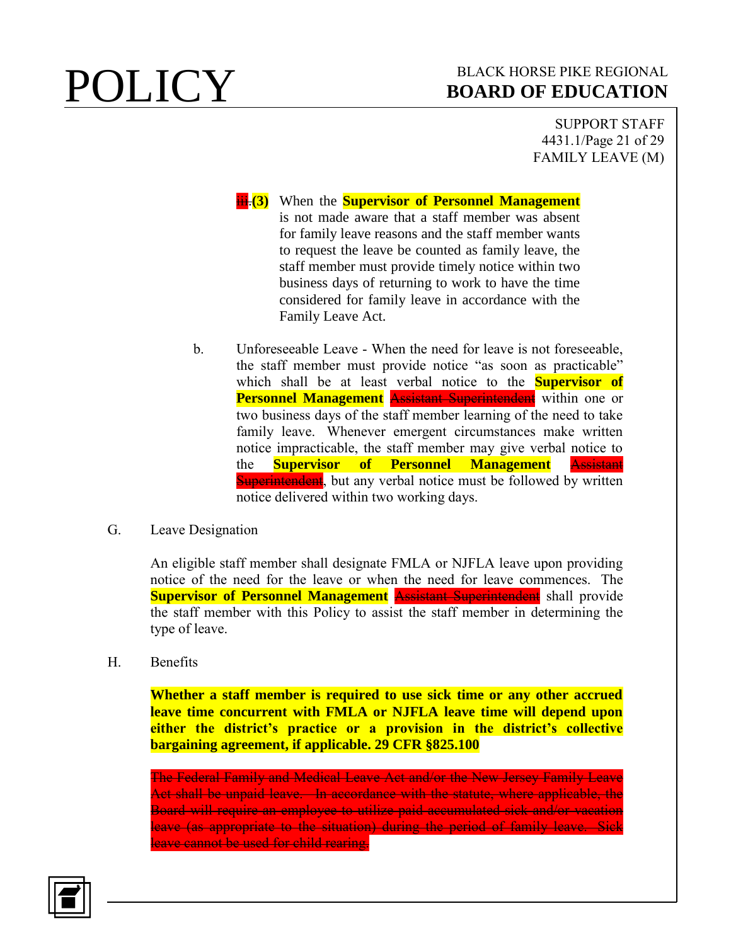SUPPORT STAFF 4431.1/Page 21 of 29 FAMILY LEAVE (M)

**iii.** (3) When the **Supervisor of Personnel Management** is not made aware that a staff member was absent for family leave reasons and the staff member wants to request the leave be counted as family leave, the staff member must provide timely notice within two business days of returning to work to have the time considered for family leave in accordance with the Family Leave Act.

- b. Unforeseeable Leave When the need for leave is not foreseeable, the staff member must provide notice "as soon as practicable" which shall be at least verbal notice to the **Supervisor of Personnel Management** Assistant Superintendent within one or two business days of the staff member learning of the need to take family leave. Whenever emergent circumstances make written notice impracticable, the staff member may give verbal notice to the **Supervisor of Personnel Management** Assistant **Superintendent**, but any verbal notice must be followed by written notice delivered within two working days.
- G. Leave Designation

An eligible staff member shall designate FMLA or NJFLA leave upon providing notice of the need for the leave or when the need for leave commences. The **Supervisor of Personnel Management Assistant Superintendent** shall provide the staff member with this Policy to assist the staff member in determining the type of leave.

H. Benefits

**Whether a staff member is required to use sick time or any other accrued leave time concurrent with FMLA or NJFLA leave time will depend upon either the district's practice or a provision in the district's collective bargaining agreement, if applicable. 29 CFR §825.100**

The Federal Family and Medical Leave Act and/or the New Jersey Family Leave Act shall be unpaid leave. In accordance with the statute, where applicable, the Board will require an employee to utilize paid accumulated sick and/or vacation leave (as appropriate to the situation) during the period of family leave. Sick leave cannot be used for child rearing.

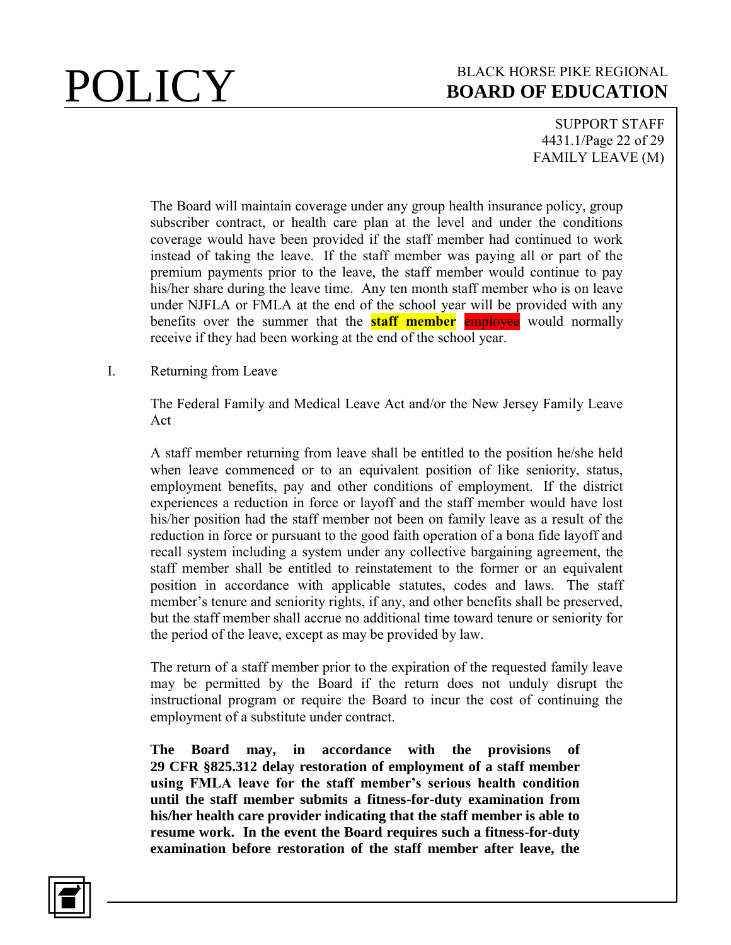SUPPORT STAFF 4431.1/Page 22 of 29 FAMILY LEAVE (M)

The Board will maintain coverage under any group health insurance policy, group subscriber contract, or health care plan at the level and under the conditions coverage would have been provided if the staff member had continued to work instead of taking the leave. If the staff member was paying all or part of the premium payments prior to the leave, the staff member would continue to pay his/her share during the leave time. Any ten month staff member who is on leave under NJFLA or FMLA at the end of the school year will be provided with any benefits over the summer that the **staff member** employee would normally receive if they had been working at the end of the school year.

### I. Returning from Leave

The Federal Family and Medical Leave Act and/or the New Jersey Family Leave Act

A staff member returning from leave shall be entitled to the position he/she held when leave commenced or to an equivalent position of like seniority, status, employment benefits, pay and other conditions of employment. If the district experiences a reduction in force or layoff and the staff member would have lost his/her position had the staff member not been on family leave as a result of the reduction in force or pursuant to the good faith operation of a bona fide layoff and recall system including a system under any collective bargaining agreement, the staff member shall be entitled to reinstatement to the former or an equivalent position in accordance with applicable statutes, codes and laws. The staff member's tenure and seniority rights, if any, and other benefits shall be preserved, but the staff member shall accrue no additional time toward tenure or seniority for the period of the leave, except as may be provided by law.

The return of a staff member prior to the expiration of the requested family leave may be permitted by the Board if the return does not unduly disrupt the instructional program or require the Board to incur the cost of continuing the employment of a substitute under contract.

**The Board may, in accordance with the provisions of 29 CFR §825.312 delay restoration of employment of a staff member using FMLA leave for the staff member's serious health condition until the staff member submits a fitness-for-duty examination from his/her health care provider indicating that the staff member is able to resume work. In the event the Board requires such a fitness-for-duty examination before restoration of the staff member after leave, the** 

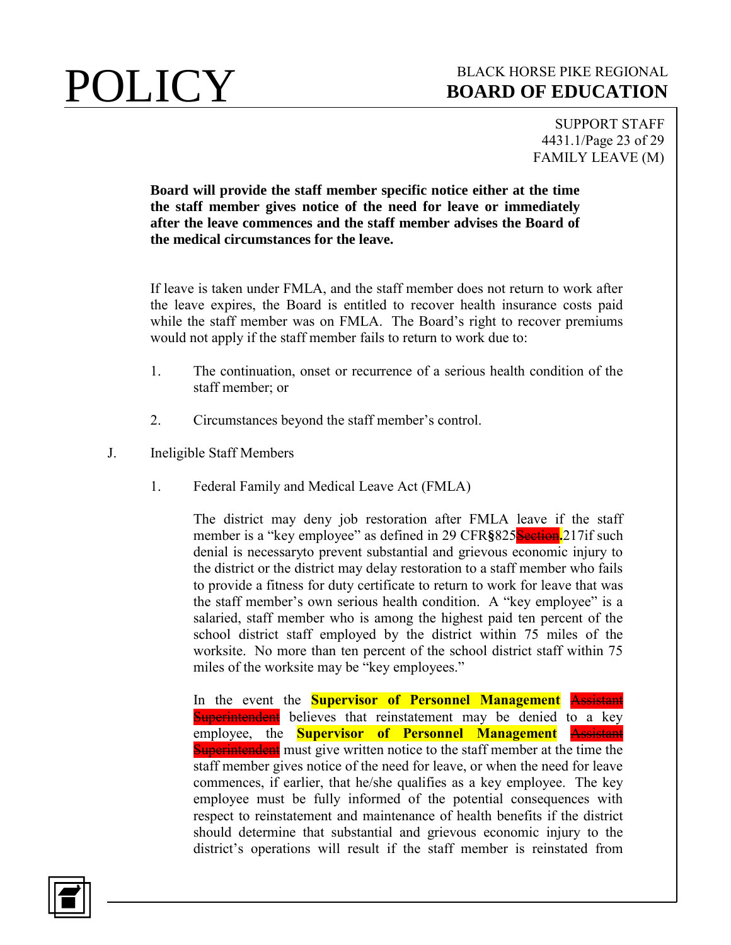SUPPORT STAFF 4431.1/Page 23 of 29 FAMILY LEAVE (M)

**Board will provide the staff member specific notice either at the time the staff member gives notice of the need for leave or immediately after the leave commences and the staff member advises the Board of the medical circumstances for the leave.**

If leave is taken under FMLA, and the staff member does not return to work after the leave expires, the Board is entitled to recover health insurance costs paid while the staff member was on FMLA. The Board's right to recover premiums would not apply if the staff member fails to return to work due to:

- 1. The continuation, onset or recurrence of a serious health condition of the staff member; or
- 2. Circumstances beyond the staff member's control.
- J. Ineligible Staff Members
	- 1. Federal Family and Medical Leave Act (FMLA)

The district may deny job restoration after FMLA leave if the staff member is a "key employee" as defined in 29 CFR§825<sup>Section</sup>.<sup>217if</sup> such denial is necessaryto prevent substantial and grievous economic injury to the district or the district may delay restoration to a staff member who fails to provide a fitness for duty certificate to return to work for leave that was the staff member's own serious health condition. A "key employee" is a salaried, staff member who is among the highest paid ten percent of the school district staff employed by the district within 75 miles of the worksite. No more than ten percent of the school district staff within 75 miles of the worksite may be "key employees."

In the event the **Supervisor of Personnel Management** Assistant **Superintendent** believes that reinstatement may be denied to a key employee, the **Supervisor of Personnel Management** Assistant **Superintendent** must give written notice to the staff member at the time the staff member gives notice of the need for leave, or when the need for leave commences, if earlier, that he/she qualifies as a key employee. The key employee must be fully informed of the potential consequences with respect to reinstatement and maintenance of health benefits if the district should determine that substantial and grievous economic injury to the district's operations will result if the staff member is reinstated from

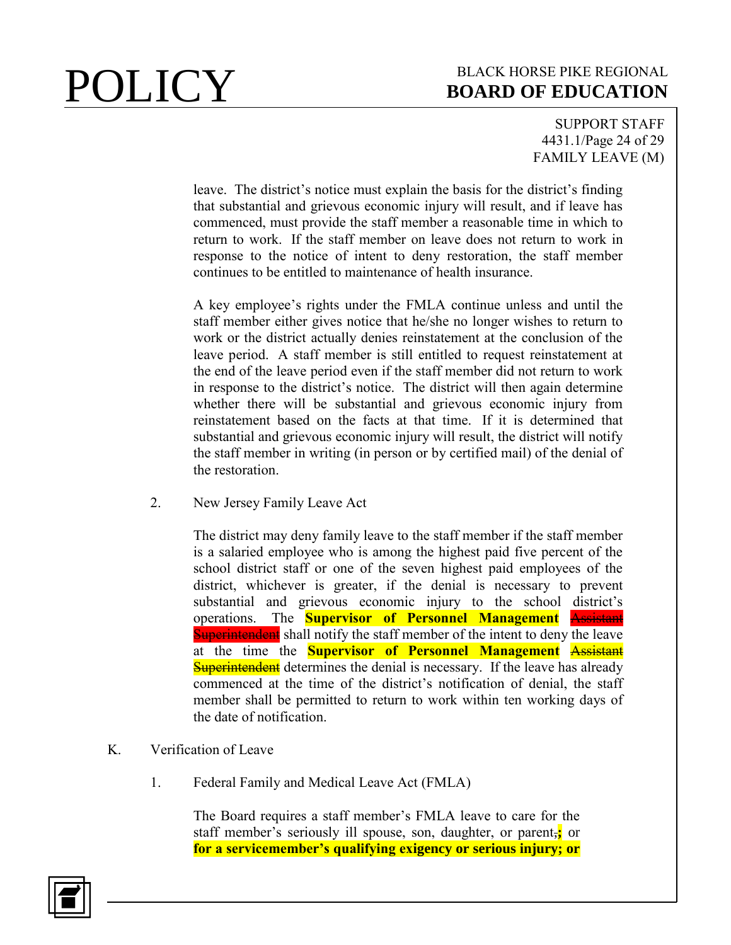SUPPORT STAFF 4431.1/Page 24 of 29 FAMILY LEAVE (M)

leave. The district's notice must explain the basis for the district's finding that substantial and grievous economic injury will result, and if leave has commenced, must provide the staff member a reasonable time in which to return to work. If the staff member on leave does not return to work in response to the notice of intent to deny restoration, the staff member continues to be entitled to maintenance of health insurance.

A key employee's rights under the FMLA continue unless and until the staff member either gives notice that he/she no longer wishes to return to work or the district actually denies reinstatement at the conclusion of the leave period. A staff member is still entitled to request reinstatement at the end of the leave period even if the staff member did not return to work in response to the district's notice. The district will then again determine whether there will be substantial and grievous economic injury from reinstatement based on the facts at that time. If it is determined that substantial and grievous economic injury will result, the district will notify the staff member in writing (in person or by certified mail) of the denial of the restoration.

2. New Jersey Family Leave Act

The district may deny family leave to the staff member if the staff member is a salaried employee who is among the highest paid five percent of the school district staff or one of the seven highest paid employees of the district, whichever is greater, if the denial is necessary to prevent substantial and grievous economic injury to the school district's operations. The **Supervisor of Personnel Management** Assistant **Superintendent** shall notify the staff member of the intent to deny the leave at the time the **Supervisor of Personnel Management** Assistant **Superintendent** determines the denial is necessary. If the leave has already commenced at the time of the district's notification of denial, the staff member shall be permitted to return to work within ten working days of the date of notification.

- K. Verification of Leave
	- 1. Federal Family and Medical Leave Act (FMLA)

The Board requires a staff member's FMLA leave to care for the staff member's seriously ill spouse, son, daughter, or parent,**;** or **for a servicemember's qualifying exigency or serious injury; or** 

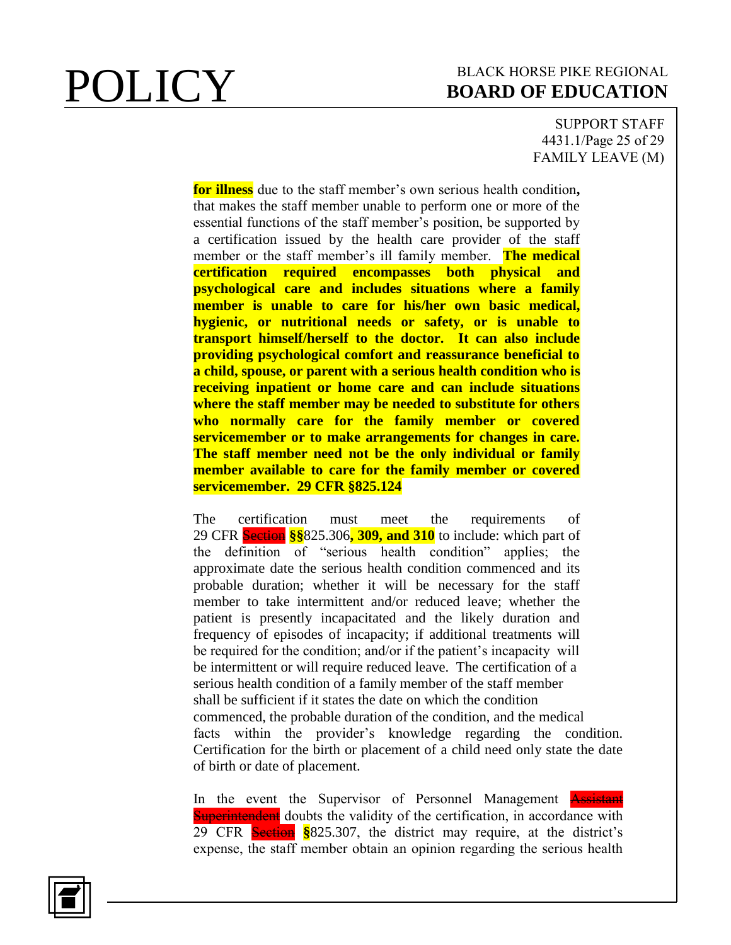SUPPORT STAFF 4431.1/Page 25 of 29 FAMILY LEAVE (M)

**for illness** due to the staff member's own serious health condition**,**  that makes the staff member unable to perform one or more of the essential functions of the staff member's position, be supported by a certification issued by the health care provider of the staff member or the staff member's ill family member. **The medical certification required encompasses both physical and psychological care and includes situations where a family member is unable to care for his/her own basic medical, hygienic, or nutritional needs or safety, or is unable to transport himself/herself to the doctor. It can also include providing psychological comfort and reassurance beneficial to a child, spouse, or parent with a serious health condition who is receiving inpatient or home care and can include situations where the staff member may be needed to substitute for others who normally care for the family member or covered servicemember or to make arrangements for changes in care. The staff member need not be the only individual or family member available to care for the family member or covered servicemember. 29 CFR §825.124**

The certification must meet the requirements of 29 CFR Section **§§**825.306**, 309, and 310** to include: which part of the definition of "serious health condition" applies; the approximate date the serious health condition commenced and its probable duration; whether it will be necessary for the staff member to take intermittent and/or reduced leave; whether the patient is presently incapacitated and the likely duration and frequency of episodes of incapacity; if additional treatments will be required for the condition; and/or if the patient's incapacity will be intermittent or will require reduced leave. The certification of a serious health condition of a family member of the staff member shall be sufficient if it states the date on which the condition commenced, the probable duration of the condition, and the medical facts within the provider's knowledge regarding the condition. Certification for the birth or placement of a child need only state the date of birth or date of placement.

In the event the Supervisor of Personnel Management Assistant **Superintendent** doubts the validity of the certification, in accordance with 29 CFR Section **§**825.307, the district may require, at the district's expense, the staff member obtain an opinion regarding the serious health

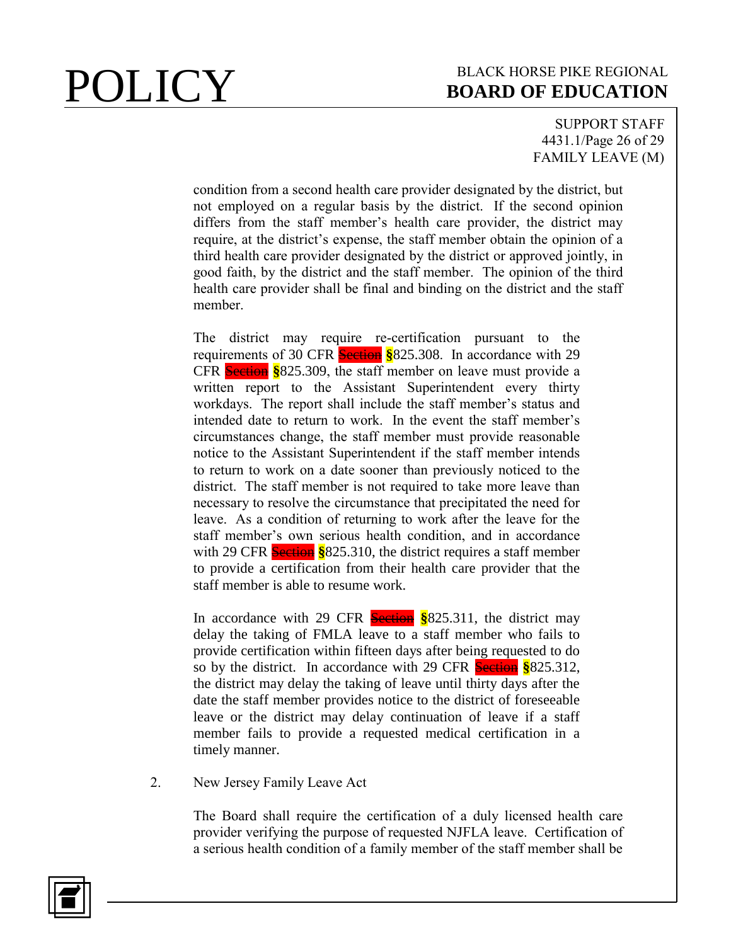SUPPORT STAFF 4431.1/Page 26 of 29 FAMILY LEAVE (M)

condition from a second health care provider designated by the district, but not employed on a regular basis by the district. If the second opinion differs from the staff member's health care provider, the district may require, at the district's expense, the staff member obtain the opinion of a third health care provider designated by the district or approved jointly, in good faith, by the district and the staff member. The opinion of the third health care provider shall be final and binding on the district and the staff member.

The district may require re-certification pursuant to the requirements of 30 CFR Section **§**825.308. In accordance with 29 CFR Section **§**825.309, the staff member on leave must provide a written report to the Assistant Superintendent every thirty workdays. The report shall include the staff member's status and intended date to return to work. In the event the staff member's circumstances change, the staff member must provide reasonable notice to the Assistant Superintendent if the staff member intends to return to work on a date sooner than previously noticed to the district. The staff member is not required to take more leave than necessary to resolve the circumstance that precipitated the need for leave. As a condition of returning to work after the leave for the staff member's own serious health condition, and in accordance with 29 CFR **Section** §825.310, the district requires a staff member to provide a certification from their health care provider that the staff member is able to resume work.

In accordance with 29 CFR Section **§**825.311, the district may delay the taking of FMLA leave to a staff member who fails to provide certification within fifteen days after being requested to do so by the district. In accordance with 29 CFR Section **§**825.312, the district may delay the taking of leave until thirty days after the date the staff member provides notice to the district of foreseeable leave or the district may delay continuation of leave if a staff member fails to provide a requested medical certification in a timely manner.

2. New Jersey Family Leave Act

The Board shall require the certification of a duly licensed health care provider verifying the purpose of requested NJFLA leave. Certification of a serious health condition of a family member of the staff member shall be

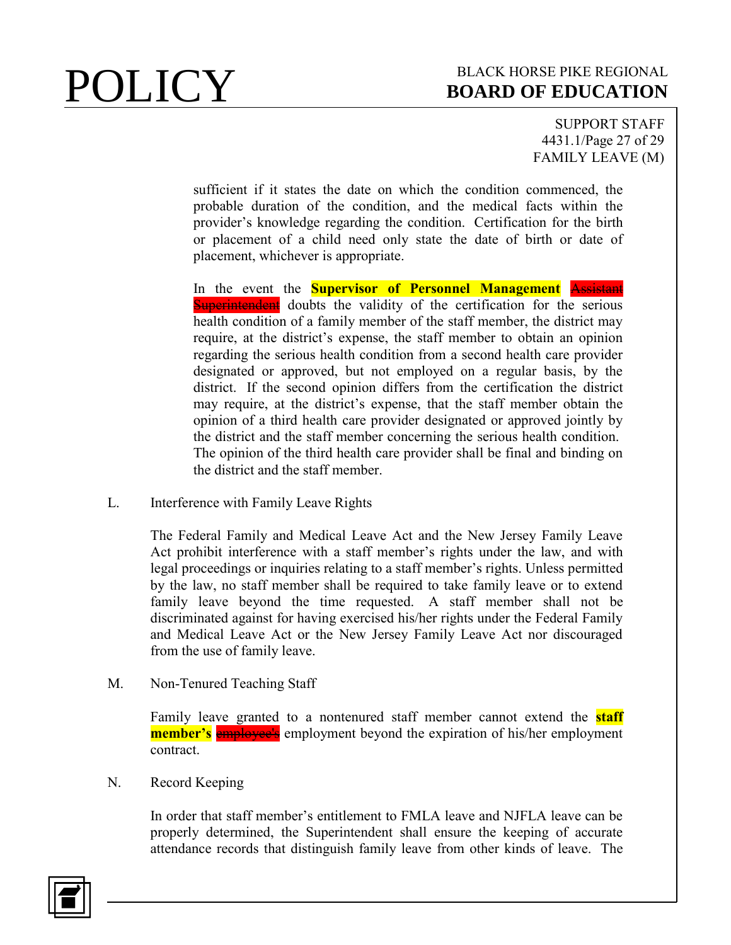SUPPORT STAFF 4431.1/Page 27 of 29 FAMILY LEAVE (M)

sufficient if it states the date on which the condition commenced, the probable duration of the condition, and the medical facts within the provider's knowledge regarding the condition. Certification for the birth or placement of a child need only state the date of birth or date of placement, whichever is appropriate.

In the event the **Supervisor of Personnel Management** Assistant **Superintendent** doubts the validity of the certification for the serious health condition of a family member of the staff member, the district may require, at the district's expense, the staff member to obtain an opinion regarding the serious health condition from a second health care provider designated or approved, but not employed on a regular basis, by the district. If the second opinion differs from the certification the district may require, at the district's expense, that the staff member obtain the opinion of a third health care provider designated or approved jointly by the district and the staff member concerning the serious health condition. The opinion of the third health care provider shall be final and binding on the district and the staff member.

L. Interference with Family Leave Rights

The Federal Family and Medical Leave Act and the New Jersey Family Leave Act prohibit interference with a staff member's rights under the law, and with legal proceedings or inquiries relating to a staff member's rights. Unless permitted by the law, no staff member shall be required to take family leave or to extend family leave beyond the time requested. A staff member shall not be discriminated against for having exercised his/her rights under the Federal Family and Medical Leave Act or the New Jersey Family Leave Act nor discouraged from the use of family leave.

M. Non-Tenured Teaching Staff

Family leave granted to a nontenured staff member cannot extend the **staff member's** employee's employment beyond the expiration of his/her employment contract.

N. Record Keeping

In order that staff member's entitlement to FMLA leave and NJFLA leave can be properly determined, the Superintendent shall ensure the keeping of accurate attendance records that distinguish family leave from other kinds of leave. The

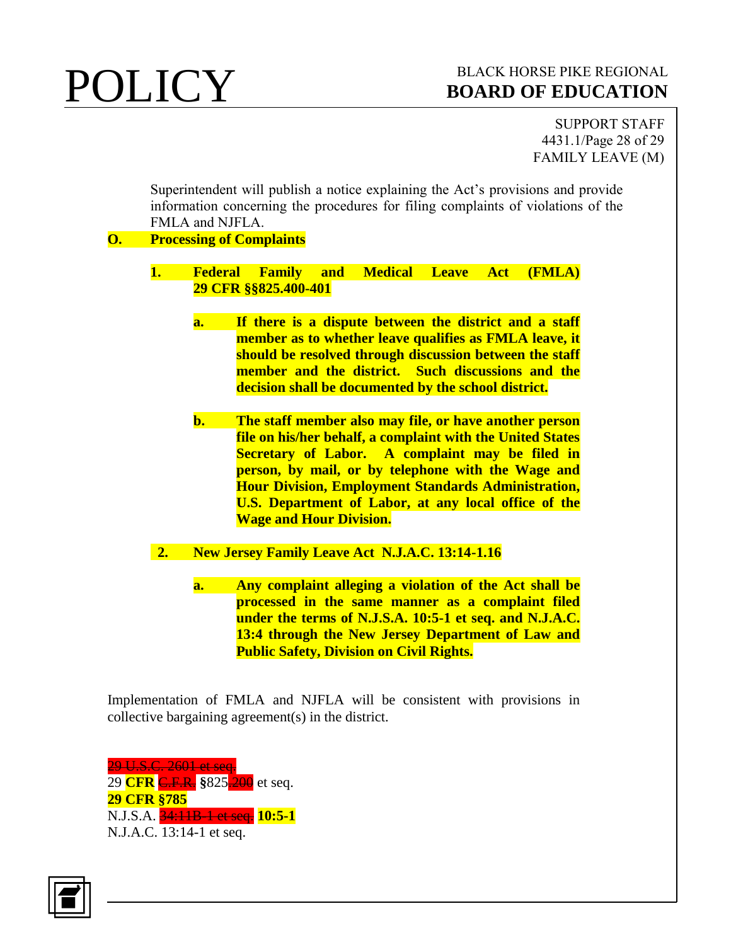SUPPORT STAFF 4431.1/Page 28 of 29 FAMILY LEAVE (M)

Superintendent will publish a notice explaining the Act's provisions and provide information concerning the procedures for filing complaints of violations of the FMLA and NJFLA.

### **O. Processing of Complaints**

- **1. Federal Family and Medical Leave Act (FMLA) 29 CFR §§825.400-401**
	- **a. If there is a dispute between the district and a staff member as to whether leave qualifies as FMLA leave, it should be resolved through discussion between the staff member and the district. Such discussions and the decision shall be documented by the school district.**
	- **b. The staff member also may file, or have another person file on his/her behalf, a complaint with the United States Secretary of Labor. A complaint may be filed in person, by mail, or by telephone with the Wage and Hour Division, Employment Standards Administration, U.S. Department of Labor, at any local office of the Wage and Hour Division.**
- **2. New Jersey Family Leave Act N.J.A.C. 13:14-1.16**
	- **a. Any complaint alleging a violation of the Act shall be processed in the same manner as a complaint filed under the terms of N.J.S.A. 10:5-1 et seq. and N.J.A.C. 13:4 through the New Jersey Department of Law and Public Safety, Division on Civil Rights.**

Implementation of FMLA and NJFLA will be consistent with provisions in collective bargaining agreement(s) in the district.

29 U.S.C. 2601 et seq. 29 **CFR** C.F.R. **§**825.200 et seq. **29 CFR §785** N.J.S.A. 34:11B-1 et seq. **10:5-1** N.J.A.C. 13:14-1 et seq.